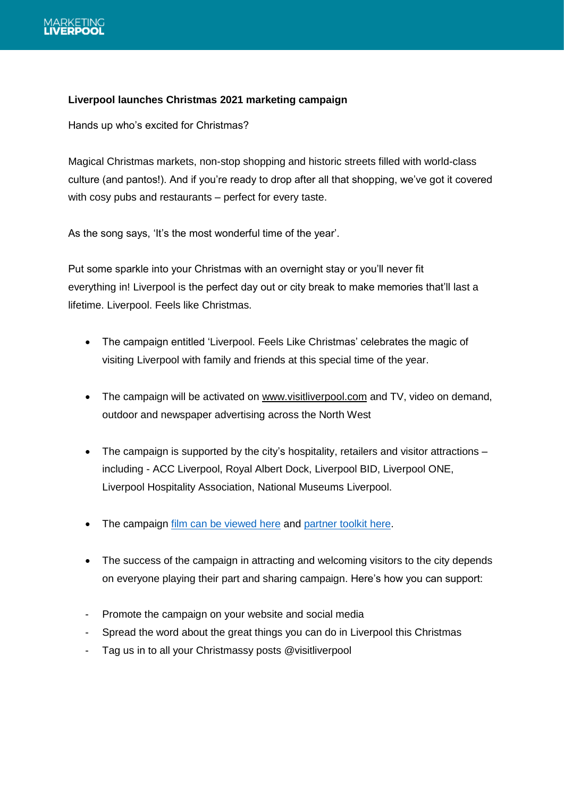

## **Liverpool launches Christmas 2021 marketing campaign**

Hands up who's excited for Christmas?

Magical Christmas markets, non-stop shopping and historic streets filled with world-class culture (and pantos!). And if you're ready to drop after all that shopping, we've got it covered with cosy pubs and restaurants – perfect for every taste.

As the song says, 'It's the most wonderful time of the year'.

Put some sparkle into your Christmas with an overnight stay or you'll never fit everything in! Liverpool is the perfect day out or city break to make memories that'll last a lifetime. Liverpool. Feels like Christmas.

- The campaign entitled 'Liverpool. Feels Like Christmas' celebrates the magic of visiting Liverpool with family and friends at this special time of the year.
- The campaign will be activated on [www.visitliverpool.com](http://www.visitliverpool.com/) and TV, video on demand, outdoor and newspaper advertising across the North West
- The campaign is supported by the city's hospitality, retailers and visitor attractions including - ACC Liverpool, Royal Albert Dock, Liverpool BID, Liverpool ONE, Liverpool Hospitality Association, National Museums Liverpool.
- The campaign [film can be viewed here](https://drive.google.com/drive/folders/11hgzw-xGXYFASm-2QFUr2jNMWXQ7h2Bd) and [partner toolkit here.](https://drive.google.com/drive/folders/11hgzw-xGXYFASm-2QFUr2jNMWXQ7h2Bd)
- The success of the campaign in attracting and welcoming visitors to the city depends on everyone playing their part and sharing campaign. Here's how you can support:
- Promote the campaign on your website and social media
- Spread the word about the great things you can do in Liverpool this Christmas
- Tag us in to all your Christmassy posts @visitliverpool